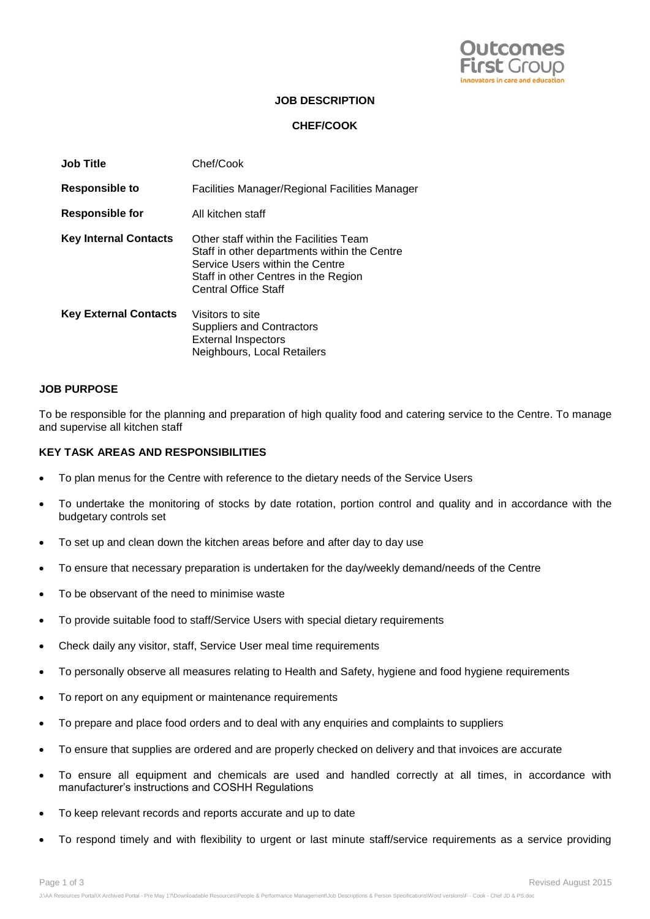

#### **JOB DESCRIPTION**

### **CHEF/COOK**

| <b>Job Title</b>             | Chef/Cook                                                                                                                                                                                        |
|------------------------------|--------------------------------------------------------------------------------------------------------------------------------------------------------------------------------------------------|
| Responsible to               | Facilities Manager/Regional Facilities Manager                                                                                                                                                   |
| <b>Responsible for</b>       | All kitchen staff                                                                                                                                                                                |
| <b>Key Internal Contacts</b> | Other staff within the Facilities Team<br>Staff in other departments within the Centre<br>Service Users within the Centre<br>Staff in other Centres in the Region<br><b>Central Office Staff</b> |
| <b>Key External Contacts</b> | Visitors to site<br>Suppliers and Contractors<br><b>External Inspectors</b><br>Neighbours, Local Retailers                                                                                       |

#### **JOB PURPOSE**

To be responsible for the planning and preparation of high quality food and catering service to the Centre. To manage and supervise all kitchen staff

#### **KEY TASK AREAS AND RESPONSIBILITIES**

- To plan menus for the Centre with reference to the dietary needs of the Service Users
- To undertake the monitoring of stocks by date rotation, portion control and quality and in accordance with the budgetary controls set
- To set up and clean down the kitchen areas before and after day to day use
- To ensure that necessary preparation is undertaken for the day/weekly demand/needs of the Centre
- To be observant of the need to minimise waste
- To provide suitable food to staff/Service Users with special dietary requirements
- Check daily any visitor, staff, Service User meal time requirements
- To personally observe all measures relating to Health and Safety, hygiene and food hygiene requirements
- To report on any equipment or maintenance requirements
- To prepare and place food orders and to deal with any enquiries and complaints to suppliers
- To ensure that supplies are ordered and are properly checked on delivery and that invoices are accurate
- To ensure all equipment and chemicals are used and handled correctly at all times, in accordance with manufacturer's instructions and COSHH Regulations
- To keep relevant records and reports accurate and up to date
- To respond timely and with flexibility to urgent or last minute staff/service requirements as a service providing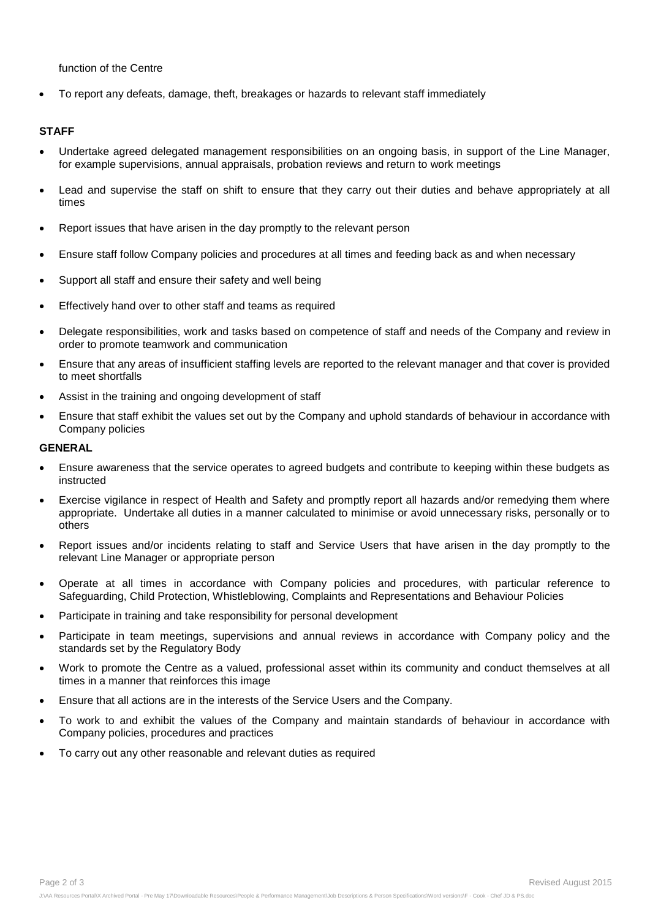function of the Centre

To report any defeats, damage, theft, breakages or hazards to relevant staff immediately

#### **STAFF**

- Undertake agreed delegated management responsibilities on an ongoing basis, in support of the Line Manager, for example supervisions, annual appraisals, probation reviews and return to work meetings
- Lead and supervise the staff on shift to ensure that they carry out their duties and behave appropriately at all times
- Report issues that have arisen in the day promptly to the relevant person
- Ensure staff follow Company policies and procedures at all times and feeding back as and when necessary
- Support all staff and ensure their safety and well being
- Effectively hand over to other staff and teams as required
- Delegate responsibilities, work and tasks based on competence of staff and needs of the Company and review in order to promote teamwork and communication
- Ensure that any areas of insufficient staffing levels are reported to the relevant manager and that cover is provided to meet shortfalls
- Assist in the training and ongoing development of staff
- Ensure that staff exhibit the values set out by the Company and uphold standards of behaviour in accordance with Company policies

#### **GENERAL**

- Ensure awareness that the service operates to agreed budgets and contribute to keeping within these budgets as instructed
- Exercise vigilance in respect of Health and Safety and promptly report all hazards and/or remedying them where appropriate. Undertake all duties in a manner calculated to minimise or avoid unnecessary risks, personally or to others
- Report issues and/or incidents relating to staff and Service Users that have arisen in the day promptly to the relevant Line Manager or appropriate person
- Operate at all times in accordance with Company policies and procedures, with particular reference to Safeguarding, Child Protection, Whistleblowing, Complaints and Representations and Behaviour Policies
- Participate in training and take responsibility for personal development
- Participate in team meetings, supervisions and annual reviews in accordance with Company policy and the standards set by the Regulatory Body
- Work to promote the Centre as a valued, professional asset within its community and conduct themselves at all times in a manner that reinforces this image
- Ensure that all actions are in the interests of the Service Users and the Company.
- To work to and exhibit the values of the Company and maintain standards of behaviour in accordance with Company policies, procedures and practices
- To carry out any other reasonable and relevant duties as required